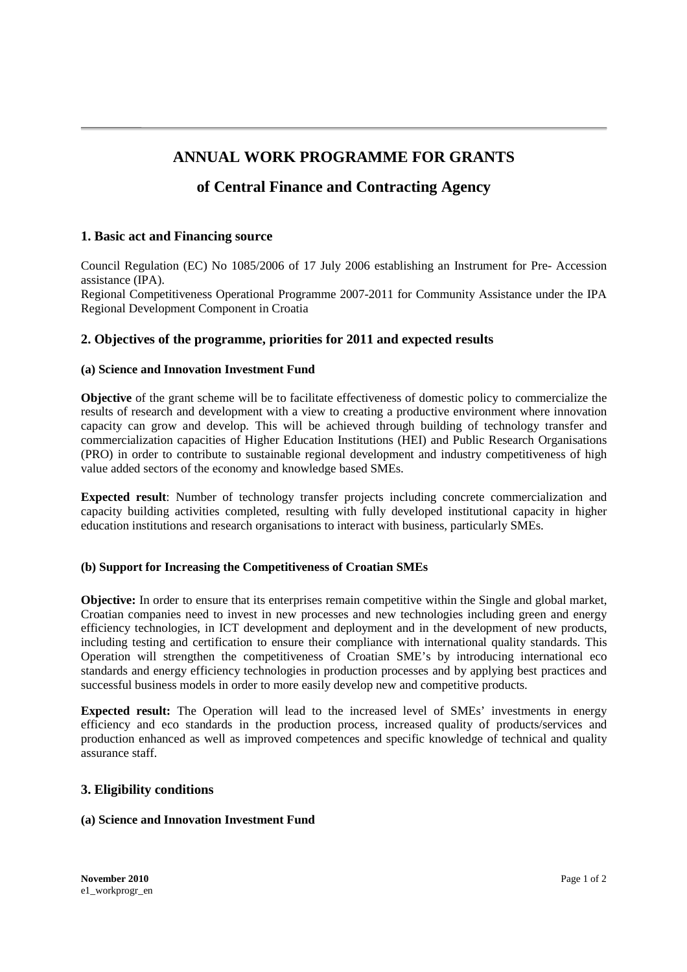# **ANNUAL WORK PROGRAMME FOR GRANTS**

## **of Central Finance and Contracting Agency**

## **1. Basic act and Financing source**

Council Regulation (EC) No 1085/2006 of 17 July 2006 establishing an Instrument for Pre- Accession assistance (IPA). Regional Competitiveness Operational Programme 2007-2011 for Community Assistance under the IPA Regional Development Component in Croatia

## **2. Objectives of the programme, priorities for 2011 and expected results**

#### **(a) Science and Innovation Investment Fund**

**Objective** of the grant scheme will be to facilitate effectiveness of domestic policy to commercialize the results of research and development with a view to creating a productive environment where innovation capacity can grow and develop. This will be achieved through building of technology transfer and commercialization capacities of Higher Education Institutions (HEI) and Public Research Organisations (PRO) in order to contribute to sustainable regional development and industry competitiveness of high value added sectors of the economy and knowledge based SMEs.

**Expected result**: Number of technology transfer projects including concrete commercialization and capacity building activities completed, resulting with fully developed institutional capacity in higher education institutions and research organisations to interact with business, particularly SMEs.

## **(b) Support for Increasing the Competitiveness of Croatian SMEs**

**Objective:** In order to ensure that its enterprises remain competitive within the Single and global market, Croatian companies need to invest in new processes and new technologies including green and energy efficiency technologies, in ICT development and deployment and in the development of new products, including testing and certification to ensure their compliance with international quality standards. This Operation will strengthen the competitiveness of Croatian SME's by introducing international eco standards and energy efficiency technologies in production processes and by applying best practices and successful business models in order to more easily develop new and competitive products.

**Expected result:** The Operation will lead to the increased level of SMEs' investments in energy efficiency and eco standards in the production process, increased quality of products/services and production enhanced as well as improved competences and specific knowledge of technical and quality assurance staff.

## **3. Eligibility conditions**

## **(a) Science and Innovation Investment Fund**